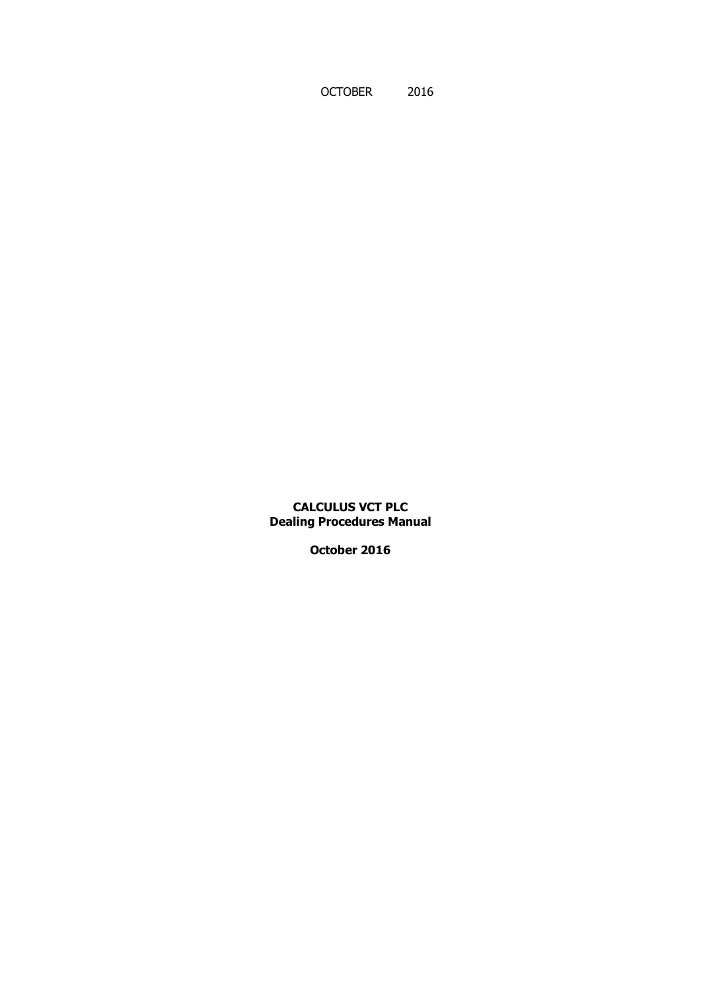OCTOBER 2016

**CALCULUS VCT PLC Dealing Procedures Manual**

**October 2016**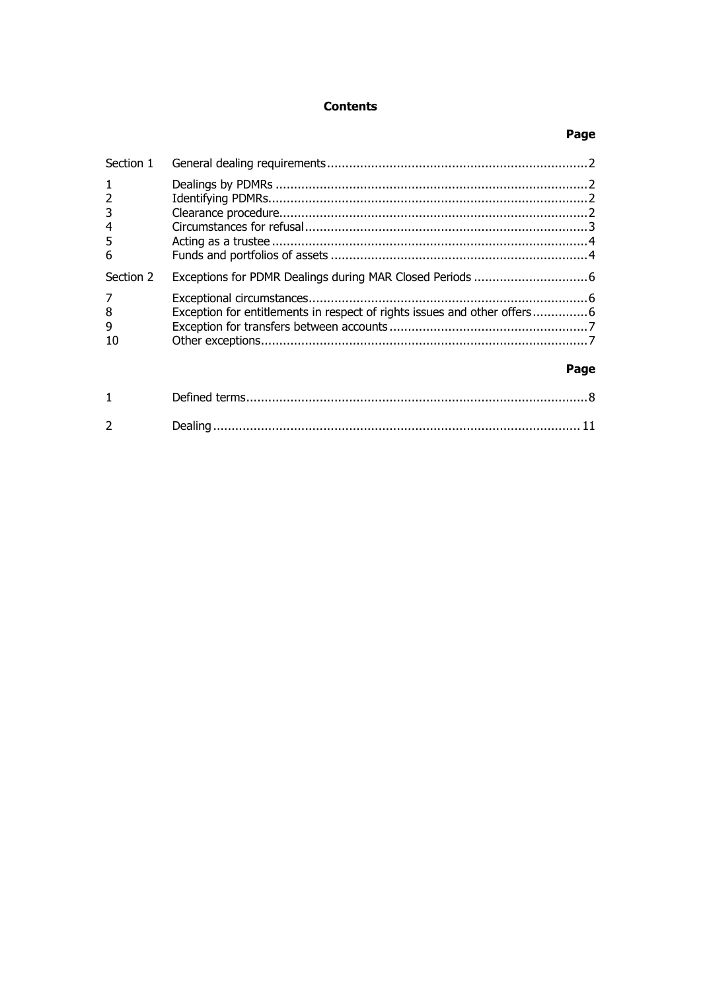# **Contents**

## Page

| Section 1                          |                                                                          |      |
|------------------------------------|--------------------------------------------------------------------------|------|
| $\overline{2}$<br>3<br>4<br>5<br>6 |                                                                          |      |
| Section 2                          |                                                                          |      |
| 7<br>8<br>9                        | Exception for entitlements in respect of rights issues and other offers6 |      |
|                                    |                                                                          | Page |
|                                    |                                                                          |      |
| $\mathcal{P}$                      |                                                                          |      |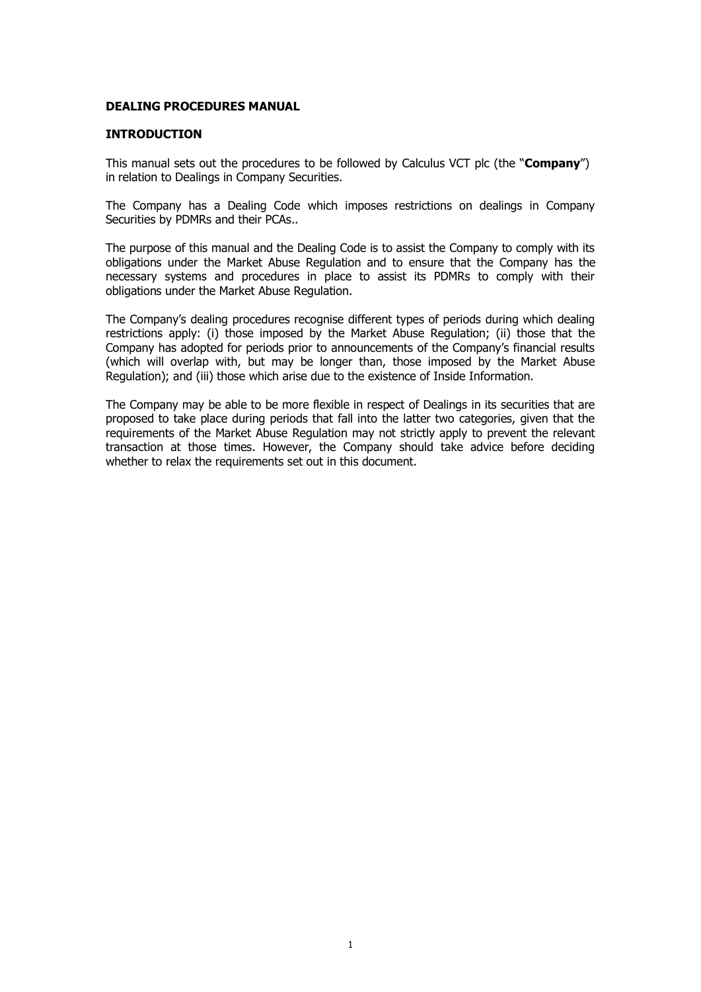#### **DEALING PROCEDURES MANUAL**

#### **INTRODUCTION**

This manual sets out the procedures to be followed by Calculus VCT plc (the "**Company**") in relation to Dealings in Company Securities.

The Company has a Dealing Code which imposes restrictions on dealings in Company Securities by PDMRs and their PCAs..

The purpose of this manual and the Dealing Code is to assist the Company to comply with its obligations under the Market Abuse Regulation and to ensure that the Company has the necessary systems and procedures in place to assist its PDMRs to comply with their obligations under the Market Abuse Regulation.

The Company's dealing procedures recognise different types of periods during which dealing restrictions apply: (i) those imposed by the Market Abuse Regulation; (ii) those that the Company has adopted for periods prior to announcements of the Company's financial results (which will overlap with, but may be longer than, those imposed by the Market Abuse Regulation); and (iii) those which arise due to the existence of Inside Information.

The Company may be able to be more flexible in respect of Dealings in its securities that are proposed to take place during periods that fall into the latter two categories, given that the requirements of the Market Abuse Regulation may not strictly apply to prevent the relevant transaction at those times. However, the Company should take advice before deciding whether to relax the requirements set out in this document.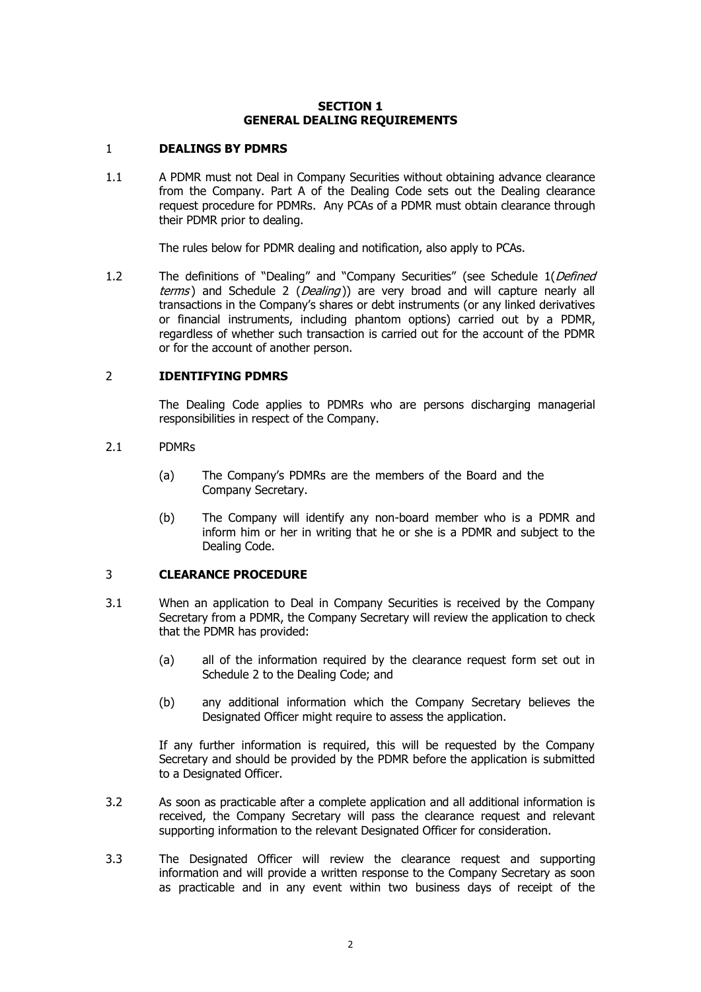#### **SECTION 1 GENERAL DEALING REQUIREMENTS**

#### <span id="page-3-1"></span><span id="page-3-0"></span>1 **DEALINGS BY PDMRS**

1.1 A PDMR must not Deal in Company Securities without obtaining advance clearance from the Company. Part A of the Dealing Code sets out the Dealing clearance request procedure for PDMRs. Any PCAs of a PDMR must obtain clearance through their PDMR prior to dealing.

The rules below for PDMR dealing and notification, also apply to PCAs.

1.2 The definitions of "Dealing" and "Company Securities" (see [Schedule 1\(](#page-9-1)Defined [terms](#page-9-0)) and [Schedule 2](#page-12-1) (*[Dealing](#page-12-0)*)) are very broad and will capture nearly all transactions in the Company's shares or debt instruments (or any linked derivatives or financial instruments, including phantom options) carried out by a PDMR, regardless of whether such transaction is carried out for the account of the PDMR or for the account of another person.

## <span id="page-3-2"></span>2 **IDENTIFYING PDMRS**

The Dealing Code applies to PDMRs who are persons discharging managerial responsibilities in respect of the Company.

#### 2.1 PDMRs

- (a) The Company's PDMRs are the members of the Board and the Company Secretary.
- (b) The Company will identify any non-board member who is a PDMR and inform him or her in writing that he or she is a PDMR and subject to the Dealing Code.

## <span id="page-3-3"></span>3 **CLEARANCE PROCEDURE**

- 3.1 When an application to Deal in Company Securities is received by the Company Secretary from a PDMR, the Company Secretary will review the application to check that the PDMR has provided:
	- (a) all of the information required by the clearance request form set out in Schedule 2 to the Dealing Code; and
	- (b) any additional information which the Company Secretary believes the Designated Officer might require to assess the application.

If any further information is required, this will be requested by the Company Secretary and should be provided by the PDMR before the application is submitted to a Designated Officer.

- 3.2 As soon as practicable after a complete application and all additional information is received, the Company Secretary will pass the clearance request and relevant supporting information to the relevant Designated Officer for consideration.
- 3.3 The Designated Officer will review the clearance request and supporting information and will provide a written response to the Company Secretary as soon as practicable and in any event within two business days of receipt of the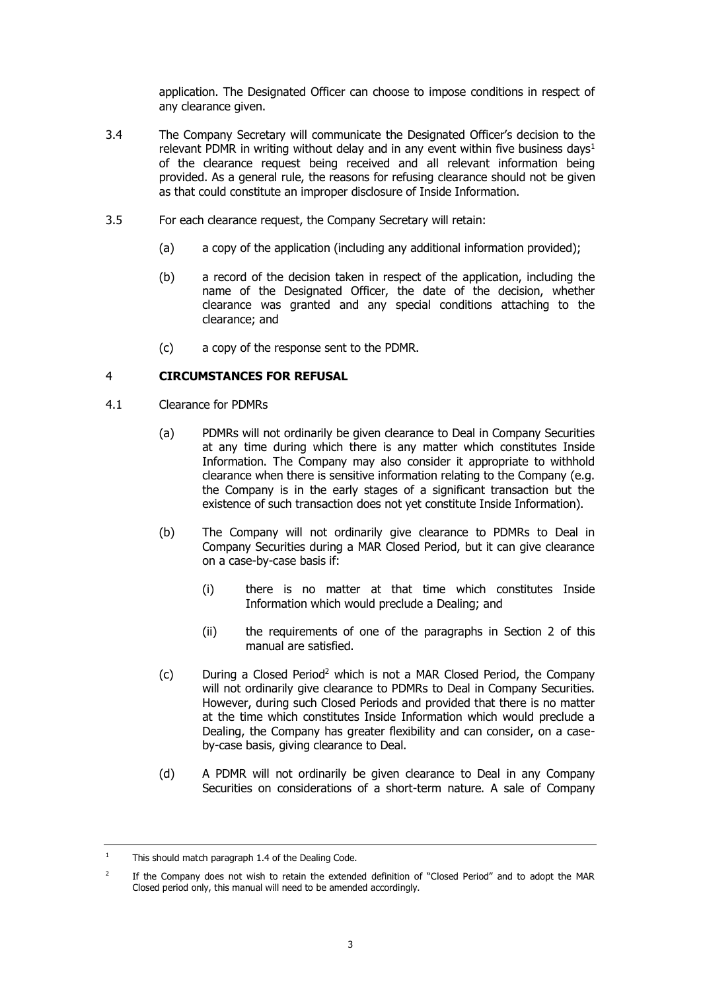application. The Designated Officer can choose to impose conditions in respect of any clearance given.

- 3.4 The Company Secretary will communicate the Designated Officer's decision to the relevant PDMR in writing without delay and in any event within five business days<sup>1</sup> of the clearance request being received and all relevant information being provided. As a general rule, the reasons for refusing clearance should not be given as that could constitute an improper disclosure of Inside Information.
- 3.5 For each clearance request, the Company Secretary will retain:
	- (a) a copy of the application (including any additional information provided);
	- (b) a record of the decision taken in respect of the application, including the name of the Designated Officer, the date of the decision, whether clearance was granted and any special conditions attaching to the clearance; and
	- (c) a copy of the response sent to the PDMR.

## <span id="page-4-0"></span>4 **CIRCUMSTANCES FOR REFUSAL**

- 4.1 Clearance for PDMRs
	- (a) PDMRs will not ordinarily be given clearance to Deal in Company Securities at any time during which there is any matter which constitutes Inside Information. The Company may also consider it appropriate to withhold clearance when there is sensitive information relating to the Company (e.g. the Company is in the early stages of a significant transaction but the existence of such transaction does not yet constitute Inside Information).
	- (b) The Company will not ordinarily give clearance to PDMRs to Deal in Company Securities during a MAR Closed Period, but it can give clearance on a case-by-case basis if:
		- (i) there is no matter at that time which constitutes Inside Information which would preclude a Dealing; and
		- (ii) the requirements of one of the paragraphs in Section 2 of this manual are satisfied.
	- (c) During a Closed Period<sup>2</sup> which is not a MAR Closed Period, the Company will not ordinarily give clearance to PDMRs to Deal in Company Securities. However, during such Closed Periods and provided that there is no matter at the time which constitutes Inside Information which would preclude a Dealing, the Company has greater flexibility and can consider, on a caseby-case basis, giving clearance to Deal.
	- (d) A PDMR will not ordinarily be given clearance to Deal in any Company Securities on considerations of a short-term nature. A sale of Company

<sup>&</sup>lt;sup>1</sup> This should match paragraph 1.4 of the Dealing Code.

<sup>2</sup> If the Company does not wish to retain the extended definition of "Closed Period" and to adopt the MAR Closed period only, this manual will need to be amended accordingly.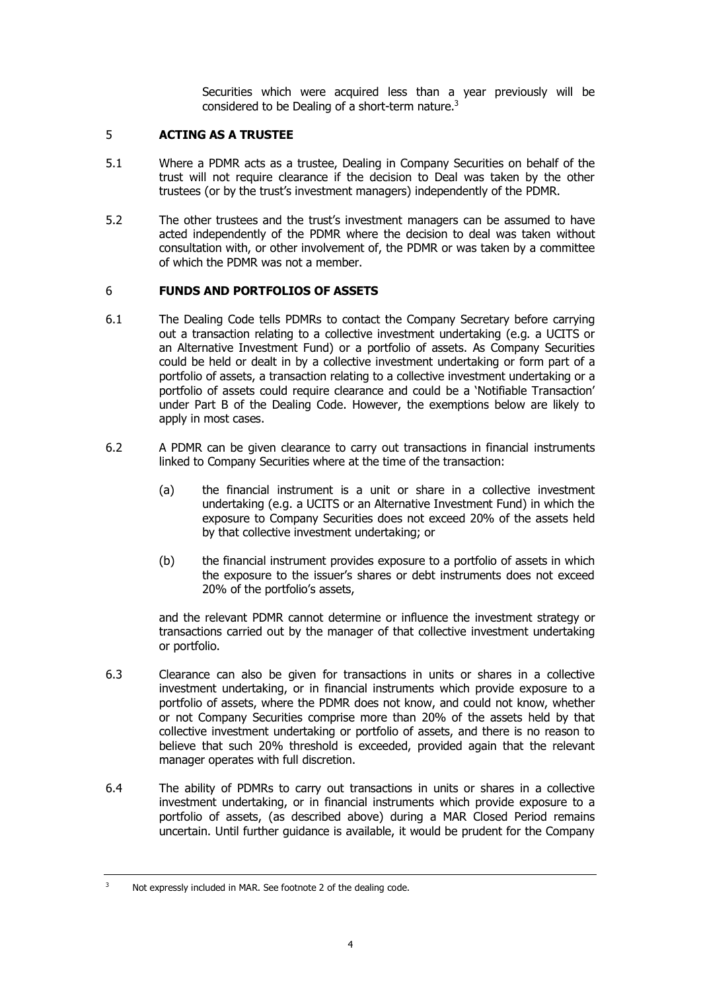Securities which were acquired less than a year previously will be considered to be Dealing of a short-term nature. $3$ 

## <span id="page-5-0"></span>5 **ACTING AS A TRUSTEE**

- 5.1 Where a PDMR acts as a trustee, Dealing in Company Securities on behalf of the trust will not require clearance if the decision to Deal was taken by the other trustees (or by the trust's investment managers) independently of the PDMR.
- 5.2 The other trustees and the trust's investment managers can be assumed to have acted independently of the PDMR where the decision to deal was taken without consultation with, or other involvement of, the PDMR or was taken by a committee of which the PDMR was not a member.

## <span id="page-5-1"></span>6 **FUNDS AND PORTFOLIOS OF ASSETS**

- 6.1 The Dealing Code tells PDMRs to contact the Company Secretary before carrying out a transaction relating to a collective investment undertaking (e.g. a UCITS or an Alternative Investment Fund) or a portfolio of assets. As Company Securities could be held or dealt in by a collective investment undertaking or form part of a portfolio of assets, a transaction relating to a collective investment undertaking or a portfolio of assets could require clearance and could be a 'Notifiable Transaction' under Part B of the Dealing Code. However, the exemptions below are likely to apply in most cases.
- 6.2 A PDMR can be given clearance to carry out transactions in financial instruments linked to Company Securities where at the time of the transaction:
	- (a) the financial instrument is a unit or share in a collective investment undertaking (e.g. a UCITS or an Alternative Investment Fund) in which the exposure to Company Securities does not exceed 20% of the assets held by that collective investment undertaking; or
	- (b) the financial instrument provides exposure to a portfolio of assets in which the exposure to the issuer's shares or debt instruments does not exceed 20% of the portfolio's assets,

and the relevant PDMR cannot determine or influence the investment strategy or transactions carried out by the manager of that collective investment undertaking or portfolio.

- 6.3 Clearance can also be given for transactions in units or shares in a collective investment undertaking, or in financial instruments which provide exposure to a portfolio of assets, where the PDMR does not know, and could not know, whether or not Company Securities comprise more than 20% of the assets held by that collective investment undertaking or portfolio of assets, and there is no reason to believe that such 20% threshold is exceeded, provided again that the relevant manager operates with full discretion.
- 6.4 The ability of PDMRs to carry out transactions in units or shares in a collective investment undertaking, or in financial instruments which provide exposure to a portfolio of assets, (as described above) during a MAR Closed Period remains uncertain. Until further guidance is available, it would be prudent for the Company

<sup>&</sup>lt;sup>3</sup> Not expressly included in MAR. See footnote 2 of the dealing code.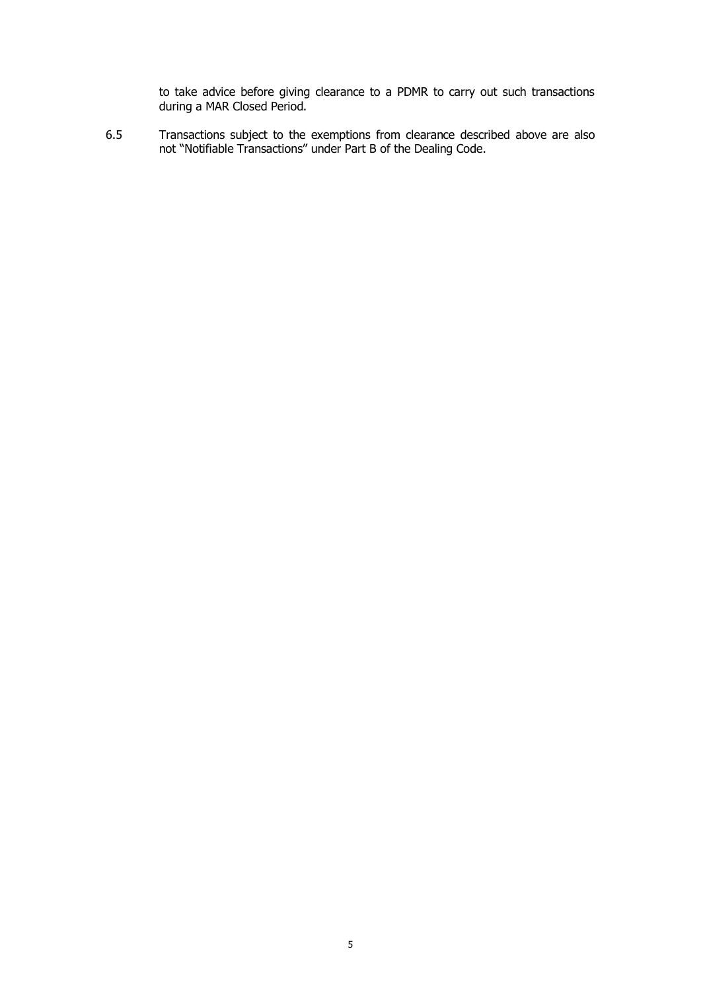to take advice before giving clearance to a PDMR to carry out such transactions during a MAR Closed Period.

6.5 Transactions subject to the exemptions from clearance described above are also not "Notifiable Transactions" under Part B of the Dealing Code.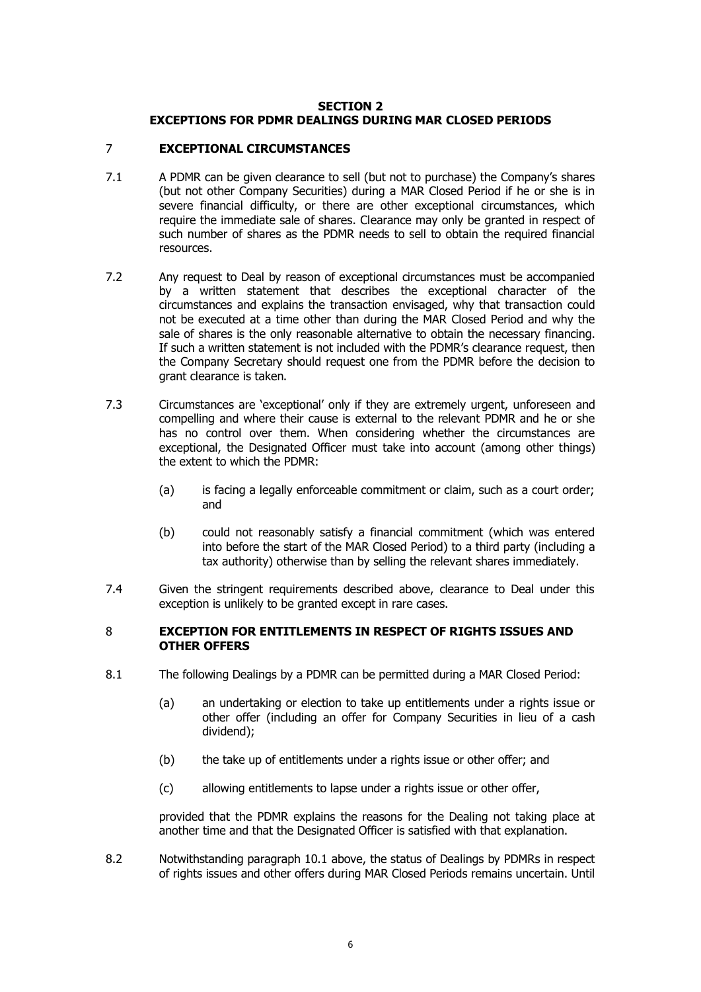## **SECTION 2 EXCEPTIONS FOR PDMR DEALINGS DURING MAR CLOSED PERIODS**

## <span id="page-7-1"></span><span id="page-7-0"></span>7 **EXCEPTIONAL CIRCUMSTANCES**

- 7.1 A PDMR can be given clearance to sell (but not to purchase) the Company's shares (but not other Company Securities) during a MAR Closed Period if he or she is in severe financial difficulty, or there are other exceptional circumstances, which require the immediate sale of shares. Clearance may only be granted in respect of such number of shares as the PDMR needs to sell to obtain the required financial resources.
- 7.2 Any request to Deal by reason of exceptional circumstances must be accompanied by a written statement that describes the exceptional character of the circumstances and explains the transaction envisaged, why that transaction could not be executed at a time other than during the MAR Closed Period and why the sale of shares is the only reasonable alternative to obtain the necessary financing. If such a written statement is not included with the PDMR's clearance request, then the Company Secretary should request one from the PDMR before the decision to grant clearance is taken.
- 7.3 Circumstances are 'exceptional' only if they are extremely urgent, unforeseen and compelling and where their cause is external to the relevant PDMR and he or she has no control over them. When considering whether the circumstances are exceptional, the Designated Officer must take into account (among other things) the extent to which the PDMR:
	- (a) is facing a legally enforceable commitment or claim, such as a court order; and
	- (b) could not reasonably satisfy a financial commitment (which was entered into before the start of the MAR Closed Period) to a third party (including a tax authority) otherwise than by selling the relevant shares immediately.
- 7.4 Given the stringent requirements described above, clearance to Deal under this exception is unlikely to be granted except in rare cases.

#### 8 **EXCEPTION FOR ENTITLEMENTS IN RESPECT OF RIGHTS ISSUES AND OTHER OFFERS**

- 8.1 The following Dealings by a PDMR can be permitted during a MAR Closed Period:
	- (a) an undertaking or election to take up entitlements under a rights issue or other offer (including an offer for Company Securities in lieu of a cash dividend);
	- (b) the take up of entitlements under a rights issue or other offer; and
	- (c) allowing entitlements to lapse under a rights issue or other offer,

provided that the PDMR explains the reasons for the Dealing not taking place at another time and that the Designated Officer is satisfied with that explanation.

8.2 Notwithstanding paragraph 10.1 above, the status of Dealings by PDMRs in respect of rights issues and other offers during MAR Closed Periods remains uncertain. Until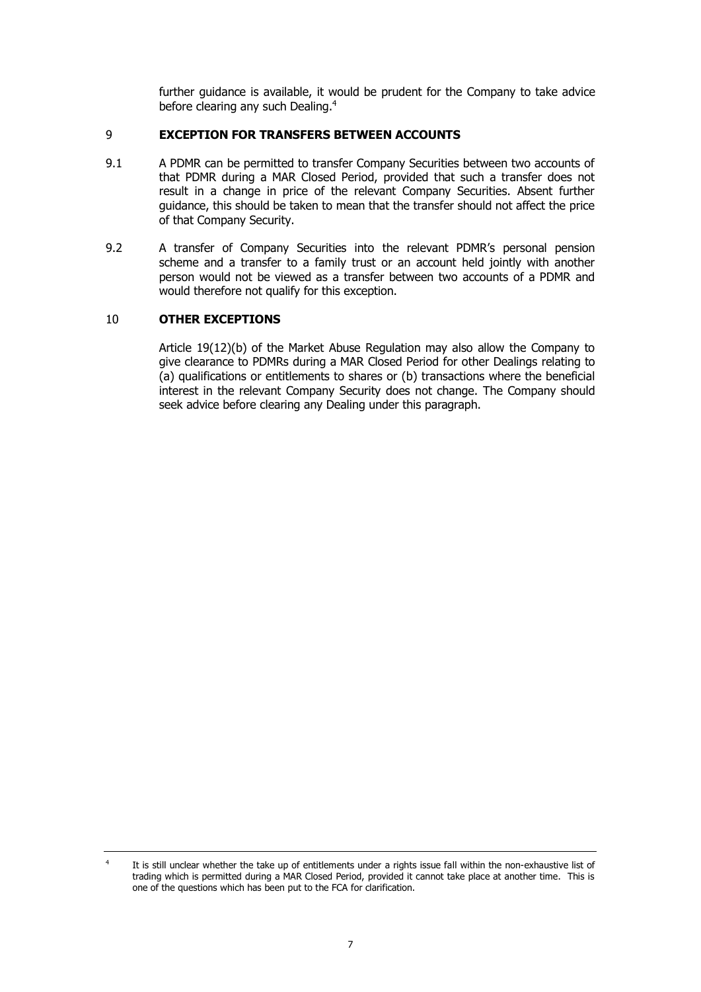further guidance is available, it would be prudent for the Company to take advice before clearing any such Dealing.<sup>4</sup>

## <span id="page-8-0"></span>9 **EXCEPTION FOR TRANSFERS BETWEEN ACCOUNTS**

- 9.1 A PDMR can be permitted to transfer Company Securities between two accounts of that PDMR during a MAR Closed Period, provided that such a transfer does not result in a change in price of the relevant Company Securities. Absent further guidance, this should be taken to mean that the transfer should not affect the price of that Company Security.
- 9.2 A transfer of Company Securities into the relevant PDMR's personal pension scheme and a transfer to a family trust or an account held jointly with another person would not be viewed as a transfer between two accounts of a PDMR and would therefore not qualify for this exception.

## <span id="page-8-1"></span>10 **OTHER EXCEPTIONS**

Article 19(12)(b) of the Market Abuse Regulation may also allow the Company to give clearance to PDMRs during a MAR Closed Period for other Dealings relating to (a) qualifications or entitlements to shares or (b) transactions where the beneficial interest in the relevant Company Security does not change. The Company should seek advice before clearing any Dealing under this paragraph.

<sup>4</sup> It is still unclear whether the take up of entitlements under a rights issue fall within the non-exhaustive list of trading which is permitted during a MAR Closed Period, provided it cannot take place at another time. This is one of the questions which has been put to the FCA for clarification.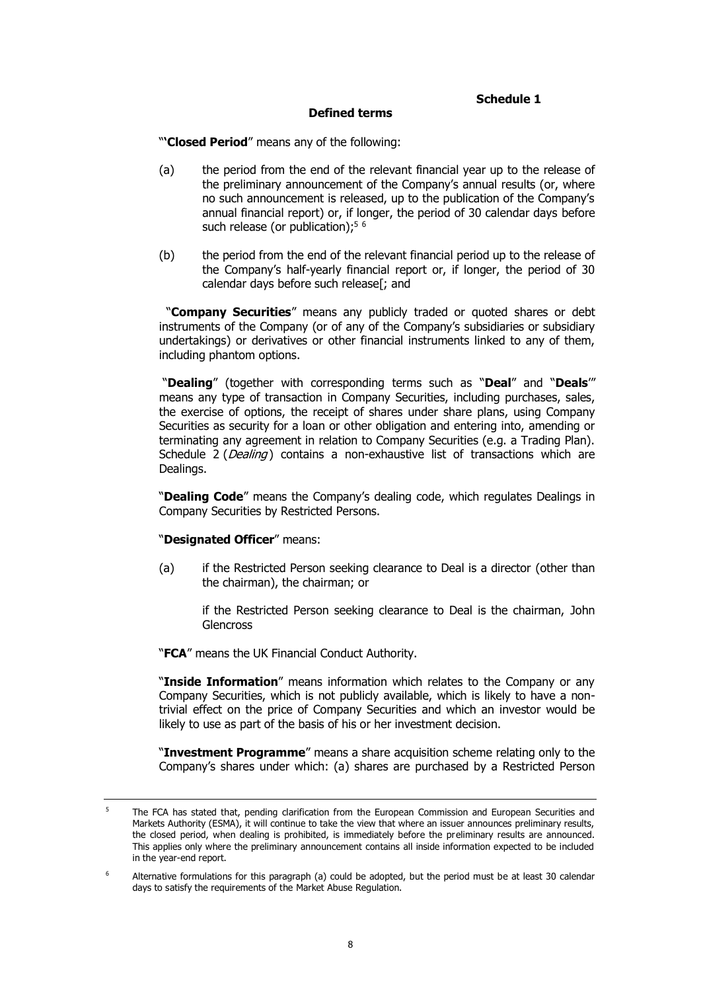#### **Schedule 1**

#### **Defined terms**

<span id="page-9-1"></span><span id="page-9-0"></span>"**'Closed Period**" means any of the following:

- (a) the period from the end of the relevant financial year up to the release of the preliminary announcement of the Company's annual results (or, where no such announcement is released, up to the publication of the Company's annual financial report) or, if longer, the period of 30 calendar days before such release (or publication);<sup>5 6</sup>
- (b) the period from the end of the relevant financial period up to the release of the Company's half-yearly financial report or, if longer, the period of 30 calendar days before such release[; and

 "**Company Securities**" means any publicly traded or quoted shares or debt instruments of the Company (or of any of the Company's subsidiaries or subsidiary undertakings) or derivatives or other financial instruments linked to any of them, including phantom options.

"**Dealing**" (together with corresponding terms such as "**Deal**" and "**Deals**'" means any type of transaction in Company Securities, including purchases, sales, the exercise of options, the receipt of shares under share plans, using Company Securities as security for a loan or other obligation and entering into, amending or terminating any agreement in relation to Company Securities (e.g. a Trading Plan). [Schedule 2](#page-12-1) (*[Dealing](#page-12-0)*) contains a non-exhaustive list of transactions which are Dealings.

"**Dealing Code**" means the Company's dealing code, which regulates Dealings in Company Securities by Restricted Persons.

#### "**Designated Officer**" means:

(a) if the Restricted Person seeking clearance to Deal is a director (other than the chairman), the chairman; or

if the Restricted Person seeking clearance to Deal is the chairman, John **Glencross** 

"**FCA**" means the UK Financial Conduct Authority.

"**Inside Information**" means information which relates to the Company or any Company Securities, which is not publicly available, which is likely to have a nontrivial effect on the price of Company Securities and which an investor would be likely to use as part of the basis of his or her investment decision.

"**Investment Programme**" means a share acquisition scheme relating only to the Company's shares under which: (a) shares are purchased by a Restricted Person

<sup>&</sup>lt;sup>5</sup> The FCA has stated that, pending clarification from the European Commission and European Securities and Markets Authority (ESMA), it will continue to take the view that where an issuer announces preliminary results, the closed period, when dealing is prohibited, is immediately before the preliminary results are announced. This applies only where the preliminary announcement contains all inside information expected to be included in the year-end report.

<sup>&</sup>lt;sup>6</sup> Alternative formulations for this paragraph (a) could be adopted, but the period must be at least 30 calendar days to satisfy the requirements of the Market Abuse Regulation.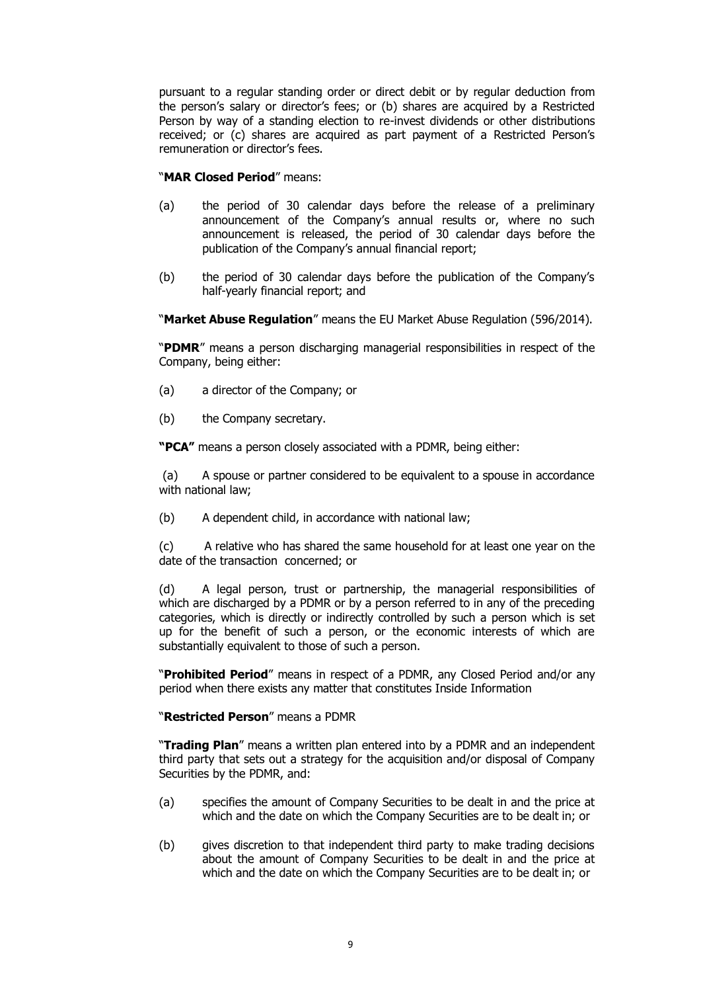pursuant to a regular standing order or direct debit or by regular deduction from the person's salary or director's fees; or (b) shares are acquired by a Restricted Person by way of a standing election to re-invest dividends or other distributions received; or (c) shares are acquired as part payment of a Restricted Person's remuneration or director's fees.

## "**MAR Closed Period**" means:

- (a) the period of 30 calendar days before the release of a preliminary announcement of the Company's annual results or, where no such announcement is released, the period of 30 calendar days before the publication of the Company's annual financial report;
- (b) the period of 30 calendar days before the publication of the Company's half-yearly financial report; and

"**Market Abuse Regulation**" means the EU Market Abuse Regulation (596/2014).

"**PDMR**" means a person discharging managerial responsibilities in respect of the Company, being either:

- (a) a director of the Company; or
- (b) the Company secretary.

**"PCA"** means a person closely associated with a PDMR, being either:

(a) A spouse or partner considered to be equivalent to a spouse in accordance with national law;

(b) A dependent child, in accordance with national law;

(c) A relative who has shared the same household for at least one year on the date of the transaction concerned; or

(d) A legal person, trust or partnership, the managerial responsibilities of which are discharged by a PDMR or by a person referred to in any of the preceding categories, which is directly or indirectly controlled by such a person which is set up for the benefit of such a person, or the economic interests of which are substantially equivalent to those of such a person.

"**Prohibited Period**" means in respect of a PDMR, any Closed Period and/or any period when there exists any matter that constitutes Inside Information

## "**Restricted Person**" means a PDMR

"**Trading Plan**" means a written plan entered into by a PDMR and an independent third party that sets out a strategy for the acquisition and/or disposal of Company Securities by the PDMR, and:

- (a) specifies the amount of Company Securities to be dealt in and the price at which and the date on which the Company Securities are to be dealt in; or
- (b) gives discretion to that independent third party to make trading decisions about the amount of Company Securities to be dealt in and the price at which and the date on which the Company Securities are to be dealt in; or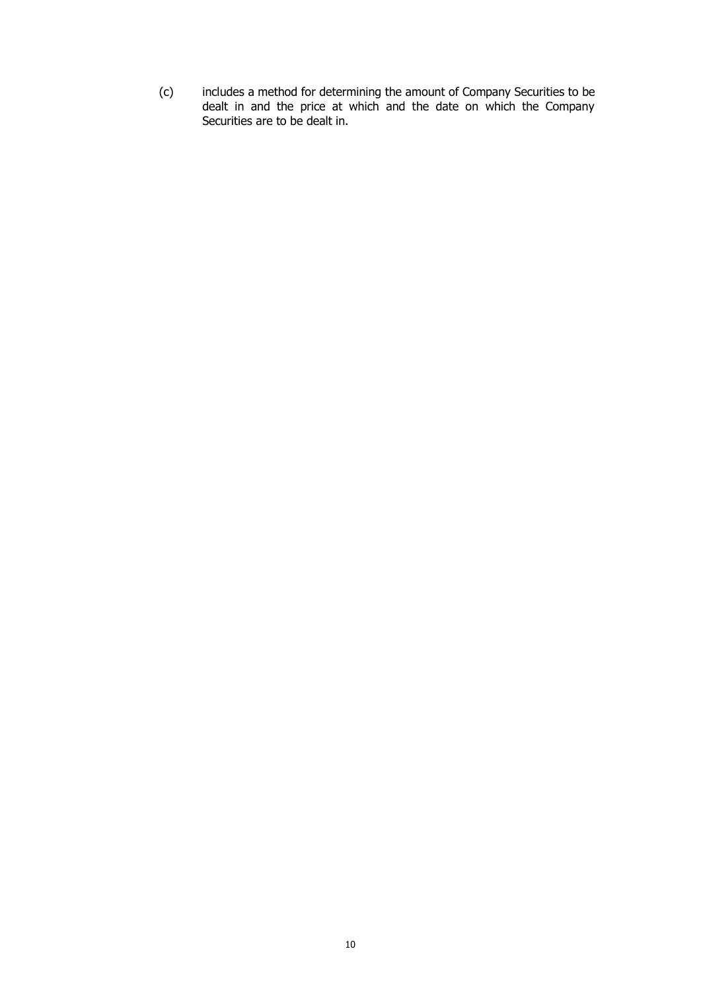(c) includes a method for determining the amount of Company Securities to be dealt in and the price at which and the date on which the Company Securities are to be dealt in.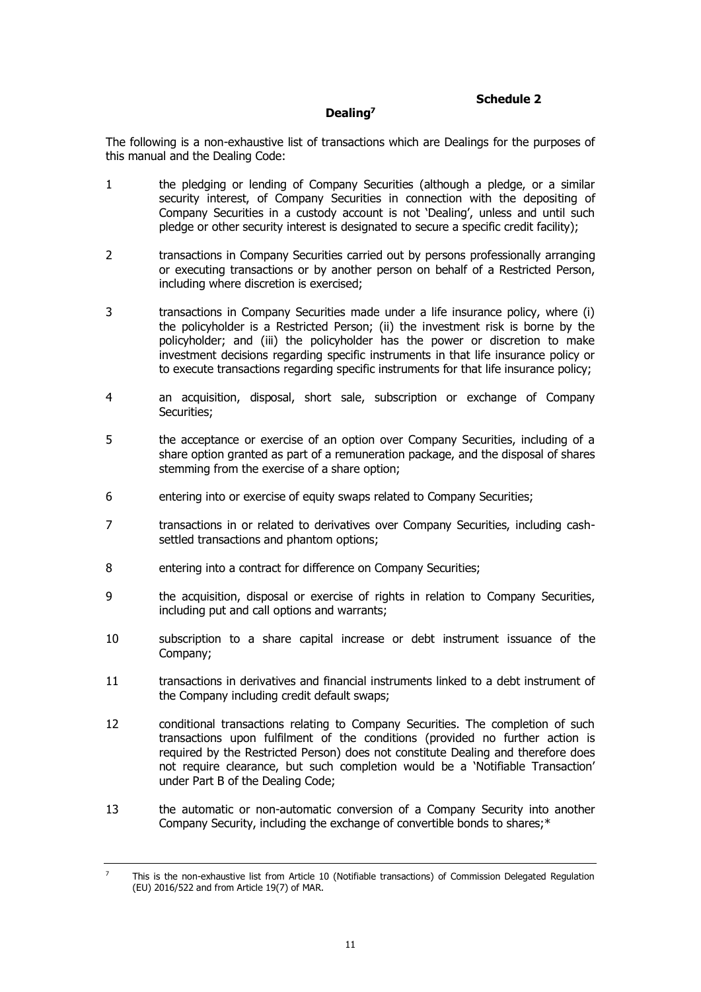## **Schedule 2**

## **Dealing<sup>7</sup>**

<span id="page-12-1"></span><span id="page-12-0"></span>The following is a non-exhaustive list of transactions which are Dealings for the purposes of this manual and the Dealing Code:

- 1 the pledging or lending of Company Securities (although a pledge, or a similar security interest, of Company Securities in connection with the depositing of Company Securities in a custody account is not 'Dealing', unless and until such pledge or other security interest is designated to secure a specific credit facility);
- 2 transactions in Company Securities carried out by persons professionally arranging or executing transactions or by another person on behalf of a Restricted Person, including where discretion is exercised;
- 3 transactions in Company Securities made under a life insurance policy, where (i) the policyholder is a Restricted Person; (ii) the investment risk is borne by the policyholder; and (iii) the policyholder has the power or discretion to make investment decisions regarding specific instruments in that life insurance policy or to execute transactions regarding specific instruments for that life insurance policy;
- 4 an acquisition, disposal, short sale, subscription or exchange of Company Securities;
- 5 the acceptance or exercise of an option over Company Securities, including of a share option granted as part of a remuneration package, and the disposal of shares stemming from the exercise of a share option;
- 6 entering into or exercise of equity swaps related to Company Securities;
- 7 transactions in or related to derivatives over Company Securities, including cashsettled transactions and phantom options;
- 8 entering into a contract for difference on Company Securities;
- 9 the acquisition, disposal or exercise of rights in relation to Company Securities, including put and call options and warrants;
- 10 subscription to a share capital increase or debt instrument issuance of the Company;
- 11 transactions in derivatives and financial instruments linked to a debt instrument of the Company including credit default swaps;
- 12 conditional transactions relating to Company Securities. The completion of such transactions upon fulfilment of the conditions (provided no further action is required by the Restricted Person) does not constitute Dealing and therefore does not require clearance, but such completion would be a 'Notifiable Transaction' under Part B of the Dealing Code;
- 13 the automatic or non-automatic conversion of a Company Security into another Company Security, including the exchange of convertible bonds to shares;\*

<sup>&</sup>lt;sup>7</sup> This is the non-exhaustive list from Article 10 (Notifiable transactions) of Commission Delegated Regulation (EU) 2016/522 and from Article 19(7) of MAR.